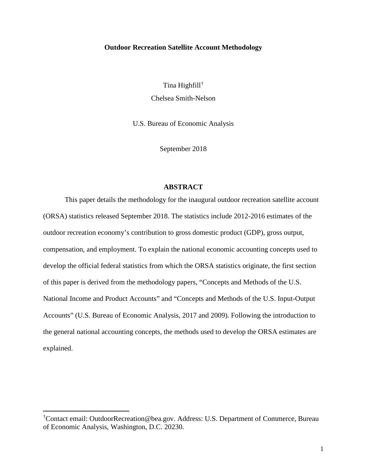### **Outdoor Recreation Satellite Account Methodology**

Tina Highfill[†](#page-0-0) Chelsea Smith-Nelson

U.S. Bureau of Economic Analysis

September 2018

### **ABSTRACT**

This paper details the methodology for the inaugural outdoor recreation satellite account (ORSA) statistics released September 2018. The statistics include 2012-2016 estimates of the outdoor recreation economy's contribution to gross domestic product (GDP), gross output, compensation, and employment. To explain the national economic accounting concepts used to develop the official federal statistics from which the ORSA statistics originate, the first section of this paper is derived from the methodology papers, "Concepts and Methods of the U.S. National Income and Product Accounts" and "Concepts and Methods of the U.S. Input-Output Accounts" (U.S. Bureau of Economic Analysis, 2017 and 2009). Following the introduction to the general national accounting concepts, the methods used to develop the ORSA estimates are explained.

 $\overline{\phantom{a}}$ 

<span id="page-0-0"></span><sup>†</sup> Contact email: OutdoorRecreation@bea.gov. Address: U.S. Department of Commerce, Bureau of Economic Analysis, Washington, D.C. 20230.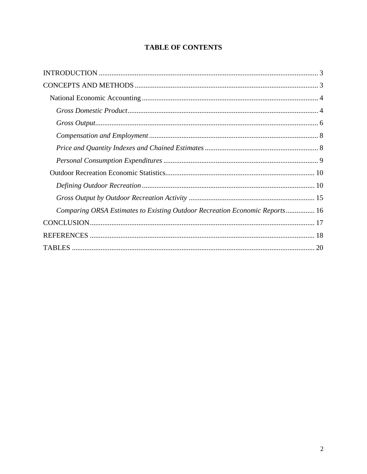# **TABLE OF CONTENTS**

| Comparing ORSA Estimates to Existing Outdoor Recreation Economic Reports 16 |
|-----------------------------------------------------------------------------|
|                                                                             |
|                                                                             |
|                                                                             |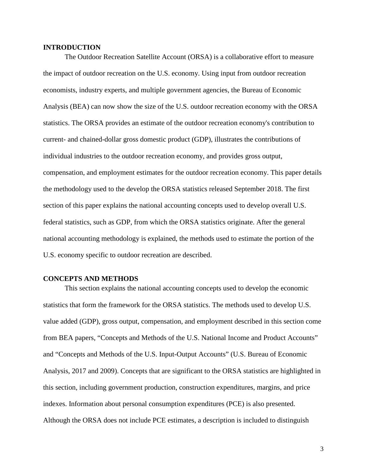### <span id="page-2-0"></span>**INTRODUCTION**

The Outdoor Recreation Satellite Account (ORSA) is a collaborative effort to measure the impact of outdoor recreation on the U.S. economy. Using input from outdoor recreation economists, industry experts, and multiple government agencies, the Bureau of Economic Analysis (BEA) can now show the size of the U.S. outdoor recreation economy with the ORSA statistics. The ORSA provides an estimate of the outdoor recreation economy's contribution to current- and chained-dollar gross domestic product (GDP), illustrates the contributions of individual industries to the outdoor recreation economy, and provides gross output, compensation, and employment estimates for the outdoor recreation economy. This paper details the methodology used to the develop the ORSA statistics released September 2018. The first section of this paper explains the national accounting concepts used to develop overall U.S. federal statistics, such as GDP, from which the ORSA statistics originate. After the general national accounting methodology is explained, the methods used to estimate the portion of the U.S. economy specific to outdoor recreation are described.

### <span id="page-2-1"></span>**CONCEPTS AND METHODS**

This section explains the national accounting concepts used to develop the economic statistics that form the framework for the ORSA statistics. The methods used to develop U.S. value added (GDP), gross output, compensation, and employment described in this section come from BEA papers, "Concepts and Methods of the U.S. National Income and Product Accounts" and "Concepts and Methods of the U.S. Input-Output Accounts" (U.S. Bureau of Economic Analysis, 2017 and 2009). Concepts that are significant to the ORSA statistics are highlighted in this section, including government production, construction expenditures, margins, and price indexes. Information about personal consumption expenditures (PCE) is also presented. Although the ORSA does not include PCE estimates, a description is included to distinguish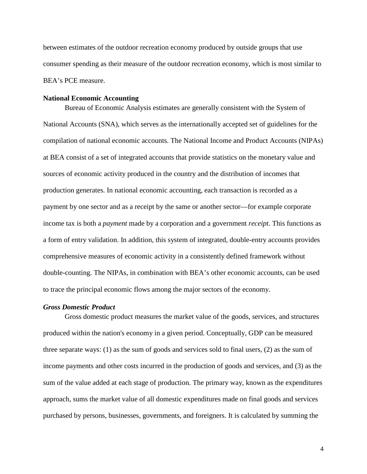between estimates of the outdoor recreation economy produced by outside groups that use consumer spending as their measure of the outdoor recreation economy, which is most similar to BEA's PCE measure.

#### <span id="page-3-0"></span>**National Economic Accounting**

Bureau of Economic Analysis estimates are generally consistent with the System of National Accounts (SNA), which serves as the internationally accepted set of guidelines for the compilation of national economic accounts. The National Income and Product Accounts (NIPAs) at BEA consist of a set of integrated accounts that provide statistics on the monetary value and sources of economic activity produced in the country and the distribution of incomes that production generates. In national economic accounting, each transaction is recorded as a payment by one sector and as a receipt by the same or another sector—for example corporate income tax is both a *payment* made by a corporation and a government *receipt*. This functions as a form of entry validation. In addition, this system of integrated, double-entry accounts provides comprehensive measures of economic activity in a consistently defined framework without double-counting. The NIPAs, in combination with BEA's other economic accounts, can be used to trace the principal economic flows among the major sectors of the economy.

### <span id="page-3-1"></span>*Gross Domestic Product*

Gross domestic product measures the market value of the goods, services, and structures produced within the nation's economy in a given period. Conceptually, GDP can be measured three separate ways: (1) as the sum of goods and services sold to final users, (2) as the sum of income payments and other costs incurred in the production of goods and services, and (3) as the sum of the value added at each stage of production. The primary way, known as the expenditures approach, sums the market value of all domestic expenditures made on final goods and services purchased by persons, businesses, governments, and foreigners. It is calculated by summing the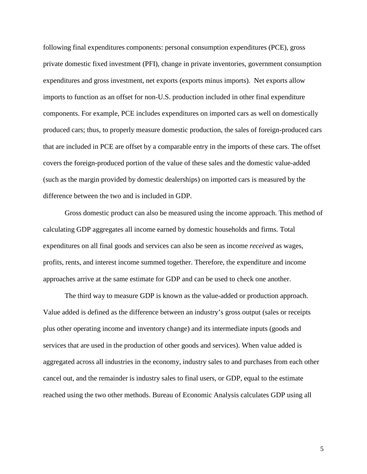following final expenditures components: personal consumption expenditures (PCE), gross private domestic fixed investment (PFI), change in private inventories, government consumption expenditures and gross investment, net exports (exports minus imports). Net exports allow imports to function as an offset for non-U.S. production included in other final expenditure components. For example, PCE includes expenditures on imported cars as well on domestically produced cars; thus, to properly measure domestic production, the sales of foreign-produced cars that are included in PCE are offset by a comparable entry in the imports of these cars. The offset covers the foreign-produced portion of the value of these sales and the domestic value-added (such as the margin provided by domestic dealerships) on imported cars is measured by the difference between the two and is included in GDP.

Gross domestic product can also be measured using the income approach. This method of calculating GDP aggregates all income earned by domestic households and firms. Total expenditures on all final goods and services can also be seen as income *received* as wages, profits, rents, and interest income summed together. Therefore, the expenditure and income approaches arrive at the same estimate for GDP and can be used to check one another.

The third way to measure GDP is known as the value-added or production approach. Value added is defined as the difference between an industry's gross output (sales or receipts plus other operating income and inventory change) and its intermediate inputs (goods and services that are used in the production of other goods and services). When value added is aggregated across all industries in the economy, industry sales to and purchases from each other cancel out, and the remainder is industry sales to final users, or GDP, equal to the estimate reached using the two other methods. Bureau of Economic Analysis calculates GDP using all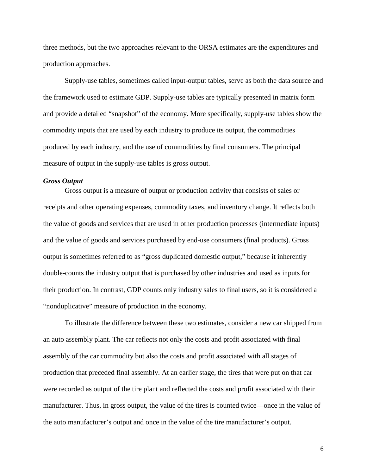three methods, but the two approaches relevant to the ORSA estimates are the expenditures and production approaches.

Supply-use tables, sometimes called input-output tables, serve as both the data source and the framework used to estimate GDP. Supply-use tables are typically presented in matrix form and provide a detailed "snapshot" of the economy. More specifically, supply-use tables show the commodity inputs that are used by each industry to produce its output, the commodities produced by each industry, and the use of commodities by final consumers. The principal measure of output in the supply-use tables is gross output.

## <span id="page-5-0"></span>*Gross Output*

Gross output is a measure of output or production activity that consists of sales or receipts and other operating expenses, commodity taxes, and inventory change. It reflects both the value of goods and services that are used in other production processes (intermediate inputs) and the value of goods and services purchased by end-use consumers (final products). Gross output is sometimes referred to as "gross duplicated domestic output," because it inherently double-counts the industry output that is purchased by other industries and used as inputs for their production. In contrast, GDP counts only industry sales to final users, so it is considered a "nonduplicative" measure of production in the economy.

To illustrate the difference between these two estimates, consider a new car shipped from an auto assembly plant. The car reflects not only the costs and profit associated with final assembly of the car commodity but also the costs and profit associated with all stages of production that preceded final assembly. At an earlier stage, the tires that were put on that car were recorded as output of the tire plant and reflected the costs and profit associated with their manufacturer. Thus, in gross output, the value of the tires is counted twice—once in the value of the auto manufacturer's output and once in the value of the tire manufacturer's output.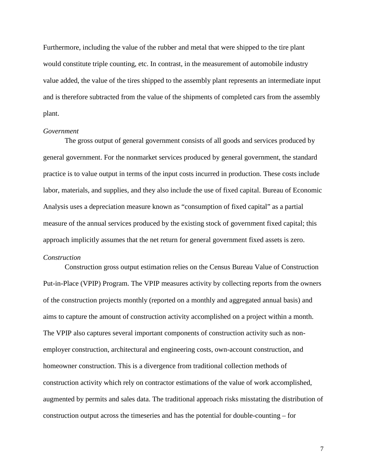Furthermore, including the value of the rubber and metal that were shipped to the tire plant would constitute triple counting, etc. In contrast, in the measurement of automobile industry value added, the value of the tires shipped to the assembly plant represents an intermediate input and is therefore subtracted from the value of the shipments of completed cars from the assembly plant.

#### *Government*

The gross output of general government consists of all goods and services produced by general government. For the nonmarket services produced by general government, the standard practice is to value output in terms of the input costs incurred in production. These costs include labor, materials, and supplies, and they also include the use of fixed capital. Bureau of Economic Analysis uses a depreciation measure known as "consumption of fixed capital" as a partial measure of the annual services produced by the existing stock of government fixed capital; this approach implicitly assumes that the net return for general government fixed assets is zero.

# *Construction*

Construction gross output estimation relies on the Census Bureau Value of Construction Put-in-Place (VPIP) Program. The VPIP measures activity by collecting reports from the owners of the construction projects monthly (reported on a monthly and aggregated annual basis) and aims to capture the amount of construction activity accomplished on a project within a month. The VPIP also captures several important components of construction activity such as nonemployer construction, architectural and engineering costs, own-account construction, and homeowner construction. This is a divergence from traditional collection methods of construction activity which rely on contractor estimations of the value of work accomplished, augmented by permits and sales data. The traditional approach risks misstating the distribution of construction output across the timeseries and has the potential for double-counting – for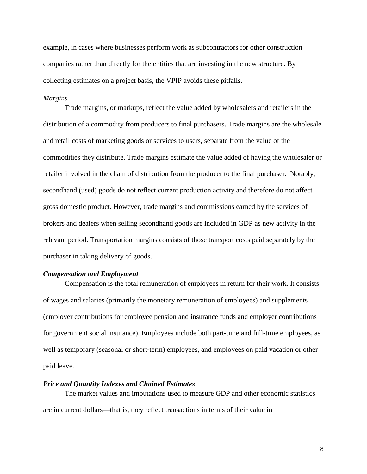example, in cases where businesses perform work as subcontractors for other construction companies rather than directly for the entities that are investing in the new structure. By collecting estimates on a project basis, the VPIP avoids these pitfalls.

### *Margins*

Trade margins, or markups, reflect the value added by wholesalers and retailers in the distribution of a commodity from producers to final purchasers. Trade margins are the wholesale and retail costs of marketing goods or services to users, separate from the value of the commodities they distribute. Trade margins estimate the value added of having the wholesaler or retailer involved in the chain of distribution from the producer to the final purchaser. Notably, secondhand (used) goods do not reflect current production activity and therefore do not affect gross domestic product. However, trade margins and commissions earned by the services of brokers and dealers when selling secondhand goods are included in GDP as new activity in the relevant period. Transportation margins consists of those transport costs paid separately by the purchaser in taking delivery of goods.

#### <span id="page-7-0"></span>*Compensation and Employment*

Compensation is the total remuneration of employees in return for their work. It consists of wages and salaries (primarily the monetary remuneration of employees) and supplements (employer contributions for employee pension and insurance funds and employer contributions for government social insurance). Employees include both part-time and full-time employees, as well as temporary (seasonal or short-term) employees, and employees on paid vacation or other paid leave.

### <span id="page-7-1"></span>*Price and Quantity Indexes and Chained Estimates*

The market values and imputations used to measure GDP and other economic statistics are in current dollars—that is, they reflect transactions in terms of their value in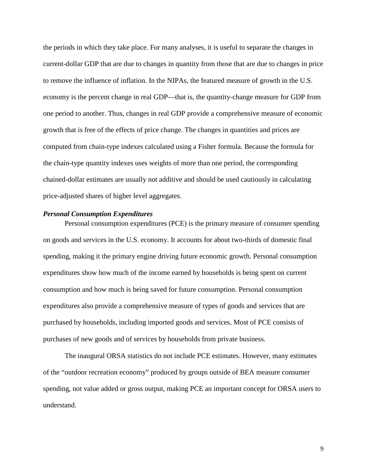the periods in which they take place. For many analyses, it is useful to separate the changes in current-dollar GDP that are due to changes in quantity from those that are due to changes in price to remove the influence of inflation. In the NIPAs, the featured measure of growth in the U.S. economy is the percent change in real GDP—that is, the quantity-change measure for GDP from one period to another. Thus, changes in real GDP provide a comprehensive measure of economic growth that is free of the effects of price change. The changes in quantities and prices are computed from chain-type indexes calculated using a Fisher formula. Because the formula for the chain-type quantity indexes uses weights of more than one period, the corresponding chained-dollar estimates are usually not additive and should be used cautiously in calculating price-adjusted shares of higher level aggregates.

# <span id="page-8-0"></span>*Personal Consumption Expenditures*

Personal consumption expenditures (PCE) is the primary measure of consumer spending on goods and services in the U.S. economy. It accounts for about two-thirds of domestic final spending, making it the primary engine driving future economic growth. Personal consumption expenditures show how much of the income earned by households is being spent on current consumption and how much is being saved for future consumption. Personal consumption expenditures also provide a comprehensive measure of types of goods and services that are purchased by households, including imported goods and services. Most of PCE consists of purchases of new goods and of services by households from private business.

The inaugural ORSA statistics do not include PCE estimates. However, many estimates of the "outdoor recreation economy" produced by groups outside of BEA measure consumer spending, not value added or gross output, making PCE an important concept for ORSA users to understand.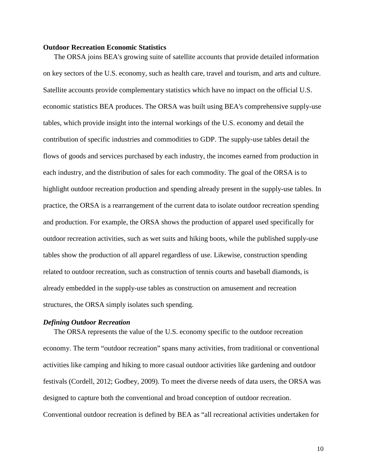#### <span id="page-9-0"></span>**Outdoor Recreation Economic Statistics**

The ORSA joins BEA's growing suite of satellite accounts that provide detailed information on key sectors of the U.S. economy, such as health care, travel and tourism, and arts and culture. Satellite accounts provide complementary statistics which have no impact on the official U.S. economic statistics BEA produces. The ORSA was built using BEA's comprehensive supply-use tables, which provide insight into the internal workings of the U.S. economy and detail the contribution of specific industries and commodities to GDP. The supply-use tables detail the flows of goods and services purchased by each industry, the incomes earned from production in each industry, and the distribution of sales for each commodity. The goal of the ORSA is to highlight outdoor recreation production and spending already present in the supply-use tables. In practice, the ORSA is a rearrangement of the current data to isolate outdoor recreation spending and production. For example, the ORSA shows the production of apparel used specifically for outdoor recreation activities, such as wet suits and hiking boots, while the published supply-use tables show the production of all apparel regardless of use. Likewise, construction spending related to outdoor recreation, such as construction of tennis courts and baseball diamonds, is already embedded in the supply-use tables as construction on amusement and recreation structures, the ORSA simply isolates such spending.

#### <span id="page-9-1"></span>*Defining Outdoor Recreation*

The ORSA represents the value of the U.S. economy specific to the outdoor recreation economy. The term "outdoor recreation" spans many activities, from traditional or conventional activities like camping and hiking to more casual outdoor activities like gardening and outdoor festivals (Cordell, 2012; Godbey, 2009). To meet the diverse needs of data users, the ORSA was designed to capture both the conventional and broad conception of outdoor recreation. Conventional outdoor recreation is defined by BEA as "all recreational activities undertaken for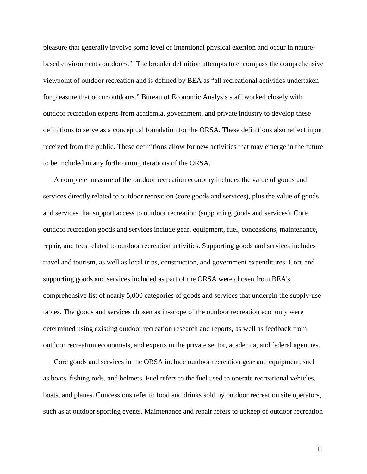pleasure that generally involve some level of intentional physical exertion and occur in naturebased environments outdoors." The broader definition attempts to encompass the comprehensive viewpoint of outdoor recreation and is defined by BEA as "all recreational activities undertaken for pleasure that occur outdoors." Bureau of Economic Analysis staff worked closely with outdoor recreation experts from academia, government, and private industry to develop these definitions to serve as a conceptual foundation for the ORSA. These definitions also reflect input received from the public. These definitions allow for new activities that may emerge in the future to be included in any forthcoming iterations of the ORSA.

A complete measure of the outdoor recreation economy includes the value of goods and services directly related to outdoor recreation (core goods and services), plus the value of goods and services that support access to outdoor recreation (supporting goods and services). Core outdoor recreation goods and services include gear, equipment, fuel, concessions, maintenance, repair, and fees related to outdoor recreation activities. Supporting goods and services includes travel and tourism, as well as local trips, construction, and government expenditures. Core and supporting goods and services included as part of the ORSA were chosen from BEA's comprehensive list of nearly 5,000 categories of goods and services that underpin the supply-use tables. The goods and services chosen as in-scope of the outdoor recreation economy were determined using existing outdoor recreation research and reports, as well as feedback from outdoor recreation economists, and experts in the private sector, academia, and federal agencies.

Core goods and services in the ORSA include outdoor recreation gear and equipment, such as boats, fishing rods, and helmets. Fuel refers to the fuel used to operate recreational vehicles, boats, and planes. Concessions refer to food and drinks sold by outdoor recreation site operators, such as at outdoor sporting events. Maintenance and repair refers to upkeep of outdoor recreation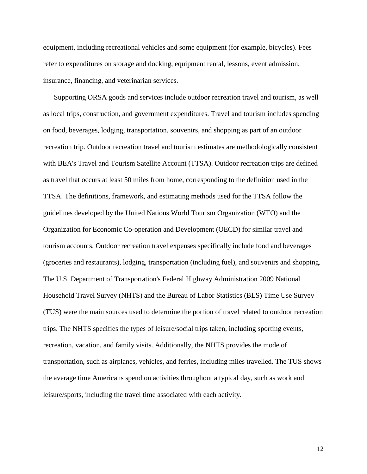equipment, including recreational vehicles and some equipment (for example, bicycles). Fees refer to expenditures on storage and docking, equipment rental, lessons, event admission, insurance, financing, and veterinarian services.

Supporting ORSA goods and services include outdoor recreation travel and tourism, as well as local trips, construction, and government expenditures. Travel and tourism includes spending on food, beverages, lodging, transportation, souvenirs, and shopping as part of an outdoor recreation trip. Outdoor recreation travel and tourism estimates are methodologically consistent with BEA's Travel and Tourism Satellite Account (TTSA). Outdoor recreation trips are defined as travel that occurs at least 50 miles from home, corresponding to the definition used in the TTSA. The definitions, framework, and estimating methods used for the TTSA follow the guidelines developed by the United Nations World Tourism Organization (WTO) and the Organization for Economic Co-operation and Development (OECD) for similar travel and tourism accounts. Outdoor recreation travel expenses specifically include food and beverages (groceries and restaurants), lodging, transportation (including fuel), and souvenirs and shopping. The U.S. Department of Transportation's Federal Highway Administration 2009 National Household Travel Survey (NHTS) and the Bureau of Labor Statistics (BLS) Time Use Survey (TUS) were the main sources used to determine the portion of travel related to outdoor recreation trips. The NHTS specifies the types of leisure/social trips taken, including sporting events, recreation, vacation, and family visits. Additionally, the NHTS provides the mode of transportation, such as airplanes, vehicles, and ferries, including miles travelled. The TUS shows the average time Americans spend on activities throughout a typical day, such as work and leisure/sports, including the travel time associated with each activity.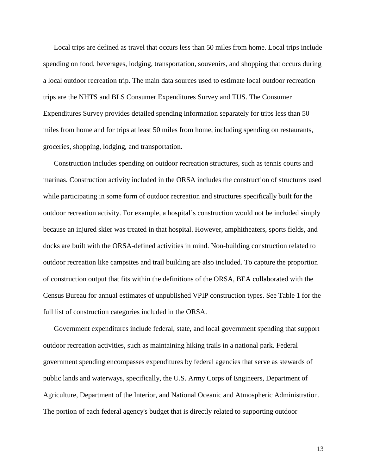Local trips are defined as travel that occurs less than 50 miles from home. Local trips include spending on food, beverages, lodging, transportation, souvenirs, and shopping that occurs during a local outdoor recreation trip. The main data sources used to estimate local outdoor recreation trips are the NHTS and BLS Consumer Expenditures Survey and TUS. The Consumer Expenditures Survey provides detailed spending information separately for trips less than 50 miles from home and for trips at least 50 miles from home, including spending on restaurants, groceries, shopping, lodging, and transportation.

Construction includes spending on outdoor recreation structures, such as tennis courts and marinas. Construction activity included in the ORSA includes the construction of structures used while participating in some form of outdoor recreation and structures specifically built for the outdoor recreation activity. For example, a hospital's construction would not be included simply because an injured skier was treated in that hospital. However, amphitheaters, sports fields, and docks are built with the ORSA-defined activities in mind. Non-building construction related to outdoor recreation like campsites and trail building are also included. To capture the proportion of construction output that fits within the definitions of the ORSA, BEA collaborated with the Census Bureau for annual estimates of unpublished VPIP construction types. See Table 1 for the full list of construction categories included in the ORSA.

Government expenditures include federal, state, and local government spending that support outdoor recreation activities, such as maintaining hiking trails in a national park. Federal government spending encompasses expenditures by federal agencies that serve as stewards of public lands and waterways, specifically, the U.S. Army Corps of Engineers, Department of Agriculture, Department of the Interior, and National Oceanic and Atmospheric Administration. The portion of each federal agency's budget that is directly related to supporting outdoor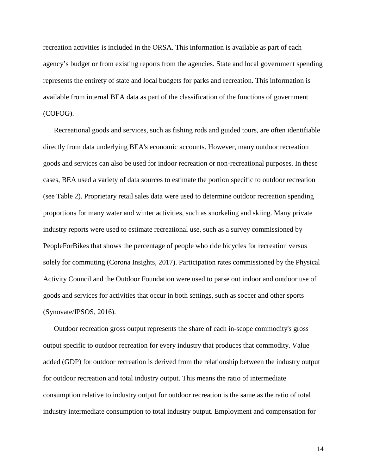recreation activities is included in the ORSA. This information is available as part of each agency's budget or from existing reports from the agencies. State and local government spending represents the entirety of state and local budgets for parks and recreation. This information is available from internal BEA data as part of the classification of the functions of government (COFOG).

Recreational goods and services, such as fishing rods and guided tours, are often identifiable directly from data underlying BEA's economic accounts. However, many outdoor recreation goods and services can also be used for indoor recreation or non-recreational purposes. In these cases, BEA used a variety of data sources to estimate the portion specific to outdoor recreation (see Table 2). Proprietary retail sales data were used to determine outdoor recreation spending proportions for many water and winter activities, such as snorkeling and skiing. Many private industry reports were used to estimate recreational use, such as a survey commissioned by PeopleForBikes that shows the percentage of people who ride bicycles for recreation versus solely for commuting (Corona Insights, 2017). Participation rates commissioned by the Physical Activity Council and the Outdoor Foundation were used to parse out indoor and outdoor use of goods and services for activities that occur in both settings, such as soccer and other sports (Synovate/IPSOS, 2016).

Outdoor recreation gross output represents the share of each in-scope commodity's gross output specific to outdoor recreation for every industry that produces that commodity. Value added (GDP) for outdoor recreation is derived from the relationship between the industry output for outdoor recreation and total industry output. This means the ratio of intermediate consumption relative to industry output for outdoor recreation is the same as the ratio of total industry intermediate consumption to total industry output. Employment and compensation for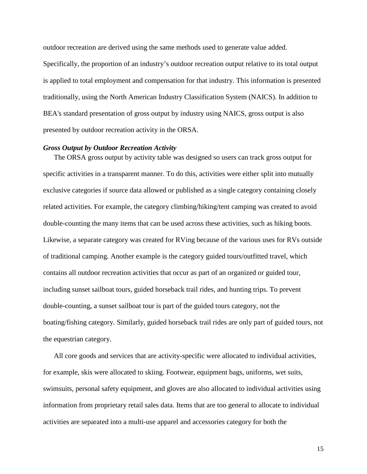outdoor recreation are derived using the same methods used to generate value added.

Specifically, the proportion of an industry's outdoor recreation output relative to its total output is applied to total employment and compensation for that industry. This information is presented traditionally, using the North American Industry Classification System (NAICS). In addition to BEA's standard presentation of gross output by industry using NAICS, gross output is also presented by outdoor recreation activity in the ORSA.

### <span id="page-14-0"></span>*Gross Output by Outdoor Recreation Activity*

The ORSA gross output by activity table was designed so users can track gross output for specific activities in a transparent manner. To do this, activities were either split into mutually exclusive categories if source data allowed or published as a single category containing closely related activities. For example, the category climbing/hiking/tent camping was created to avoid double-counting the many items that can be used across these activities, such as hiking boots. Likewise, a separate category was created for RVing because of the various uses for RVs outside of traditional camping. Another example is the category guided tours/outfitted travel, which contains all outdoor recreation activities that occur as part of an organized or guided tour, including sunset sailboat tours, guided horseback trail rides, and hunting trips. To prevent double-counting, a sunset sailboat tour is part of the guided tours category, not the boating/fishing category. Similarly, guided horseback trail rides are only part of guided tours, not the equestrian category.

All core goods and services that are activity-specific were allocated to individual activities, for example, skis were allocated to skiing. Footwear, equipment bags, uniforms, wet suits, swimsuits, personal safety equipment, and gloves are also allocated to individual activities using information from proprietary retail sales data. Items that are too general to allocate to individual activities are separated into a multi-use apparel and accessories category for both the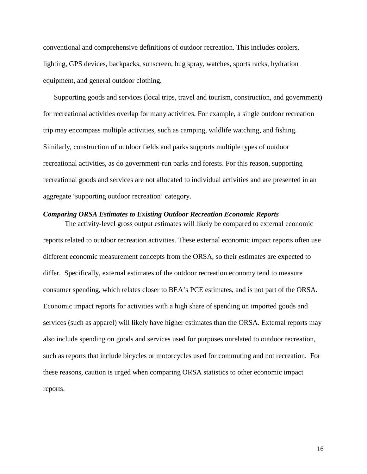conventional and comprehensive definitions of outdoor recreation. This includes coolers, lighting, GPS devices, backpacks, sunscreen, bug spray, watches, sports racks, hydration equipment, and general outdoor clothing.

Supporting goods and services (local trips, travel and tourism, construction, and government) for recreational activities overlap for many activities. For example, a single outdoor recreation trip may encompass multiple activities, such as camping, wildlife watching, and fishing. Similarly, construction of outdoor fields and parks supports multiple types of outdoor recreational activities, as do government-run parks and forests. For this reason, supporting recreational goods and services are not allocated to individual activities and are presented in an aggregate 'supporting outdoor recreation' category.

### <span id="page-15-0"></span>*Comparing ORSA Estimates to Existing Outdoor Recreation Economic Reports*

The activity-level gross output estimates will likely be compared to external economic reports related to outdoor recreation activities. These external economic impact reports often use different economic measurement concepts from the ORSA, so their estimates are expected to differ. Specifically, external estimates of the outdoor recreation economy tend to measure consumer spending, which relates closer to BEA's PCE estimates, and is not part of the ORSA. Economic impact reports for activities with a high share of spending on imported goods and services (such as apparel) will likely have higher estimates than the ORSA. External reports may also include spending on goods and services used for purposes unrelated to outdoor recreation, such as reports that include bicycles or motorcycles used for commuting and not recreation. For these reasons, caution is urged when comparing ORSA statistics to other economic impact reports.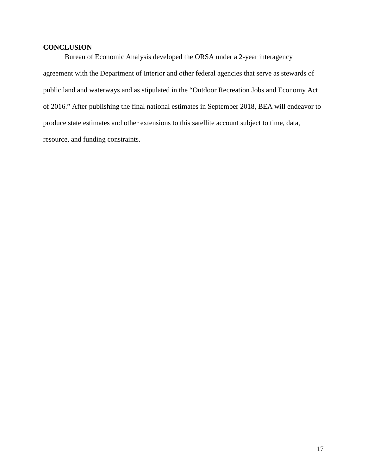# <span id="page-16-0"></span>**CONCLUSION**

Bureau of Economic Analysis developed the ORSA under a 2-year interagency agreement with the Department of Interior and other federal agencies that serve as stewards of public land and waterways and as stipulated in the "Outdoor Recreation Jobs and Economy Act of 2016." After publishing the final national estimates in September 2018, BEA will endeavor to produce state estimates and other extensions to this satellite account subject to time, data, resource, and funding constraints.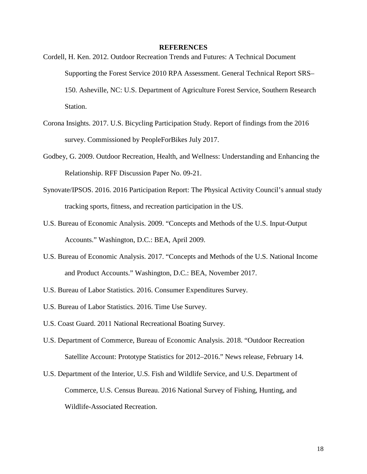#### **REFERENCES**

- <span id="page-17-0"></span>Cordell, H. Ken. 2012. Outdoor Recreation Trends and Futures: A Technical Document Supporting the Forest Service 2010 RPA Assessment. General Technical Report SRS– 150. Asheville, NC: U.S. Department of Agriculture Forest Service, Southern Research Station.
- Corona Insights. 2017. U.S. Bicycling Participation Study. Report of findings from the 2016 survey. Commissioned by PeopleForBikes July 2017.
- Godbey, G. 2009. Outdoor Recreation, Health, and Wellness: Understanding and Enhancing the Relationship. RFF Discussion Paper No. 09-21.
- Synovate/IPSOS. 2016. 2016 Participation Report: The Physical Activity Council's annual study tracking sports, fitness, and recreation participation in the US.
- U.S. Bureau of Economic Analysis. 2009. "Concepts and Methods of the U.S. Input-Output Accounts." Washington, D.C.: BEA, April 2009.
- U.S. Bureau of Economic Analysis. 2017. "Concepts and Methods of the U.S. National Income and Product Accounts." Washington, D.C.: BEA, November 2017.
- U.S. Bureau of Labor Statistics. 2016. Consumer Expenditures Survey.
- U.S. Bureau of Labor Statistics. 2016. Time Use Survey.
- U.S. Coast Guard. 2011 National Recreational Boating Survey.
- U.S. Department of Commerce, Bureau of Economic Analysis. 2018. "Outdoor Recreation Satellite Account: Prototype Statistics for 2012–2016." News release, February 14.
- U.S. Department of the Interior, U.S. Fish and Wildlife Service, and U.S. Department of Commerce, U.S. Census Bureau. 2016 National Survey of Fishing, Hunting, and Wildlife-Associated Recreation.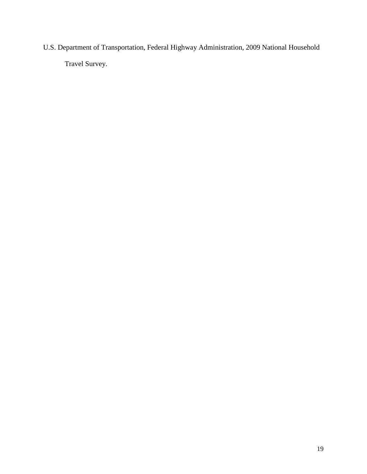U.S. Department of Transportation, Federal Highway Administration, 2009 National Household Travel Survey.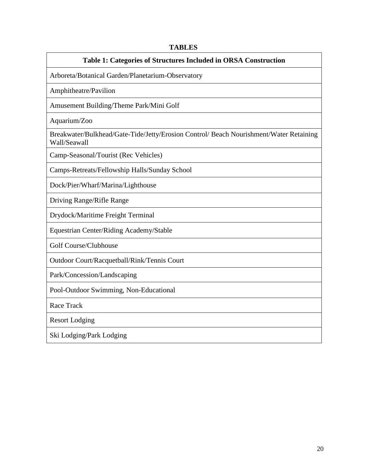# **TABLES**

### **Table 1: Categories of Structures Included in ORSA Construction**

<span id="page-19-0"></span>Arboreta/Botanical Garden/Planetarium-Observatory

Amphitheatre/Pavilion

Amusement Building/Theme Park/Mini Golf

Aquarium/Zoo

Breakwater/Bulkhead/Gate-Tide/Jetty/Erosion Control/ Beach Nourishment/Water Retaining Wall/Seawall

Camp-Seasonal/Tourist (Rec Vehicles)

Camps-Retreats/Fellowship Halls/Sunday School

Dock/Pier/Wharf/Marina/Lighthouse

Driving Range/Rifle Range

Drydock/Maritime Freight Terminal

Equestrian Center/Riding Academy/Stable

Golf Course/Clubhouse

Outdoor Court/Racquetball/Rink/Tennis Court

Park/Concession/Landscaping

Pool-Outdoor Swimming, Non-Educational

Race Track

Resort Lodging

Ski Lodging/Park Lodging